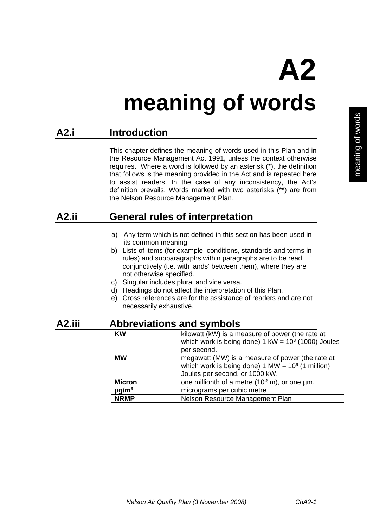**A2** 

**meaning of words** 

## **A2.i Introduction**

 This chapter defines the meaning of words used in this Plan and in the Resource Management Act 1991, unless the context otherwise requires. Where a word is followed by an asterisk (\*), the definition that follows is the meaning provided in the Act and is repeated here to assist readers. In the case of any inconsistency, the Act's definition prevails. Words marked with two asterisks (\*\*) are from the Nelson Resource Management Plan.

## **A2.ii General rules of interpretation**

- a) Any term which is not defined in this section has been used in its common meaning.
- b) Lists of items (for example, conditions, standards and terms in rules) and subparagraphs within paragraphs are to be read conjunctively (i.e. with 'ands' between them), where they are not otherwise specified.
- c) Singular includes plural and vice versa.
- d) Headings do not affect the interpretation of this Plan.
- e) Cross references are for the assistance of readers and are not necessarily exhaustive.

## **A2.iii Abbreviations and symbols**

| <b>KW</b>              | kilowatt (kW) is a measure of power (the rate at<br>which work is being done) $1 \text{ kW} = 10^3 \text{ (1000)}$ Joules                 |
|------------------------|-------------------------------------------------------------------------------------------------------------------------------------------|
|                        | per second.                                                                                                                               |
| <b>MW</b>              | megawatt (MW) is a measure of power (the rate at<br>which work is being done) 1 MW = $10^6$ (1 million)<br>Joules per second, or 1000 kW. |
| <b>Micron</b>          | one millionth of a metre $(10^{-6} \text{ m})$ , or one $\mu$ m.                                                                          |
| $\mu$ g/m <sup>3</sup> | micrograms per cubic metre                                                                                                                |
| <b>NRMP</b>            | Nelson Resource Management Plan                                                                                                           |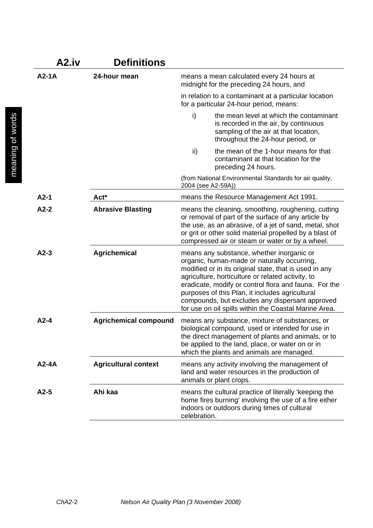| A2.iv   | Definitions                  |              |                                                                                                                                                                                                                                                                                                                                                                                                                                 |
|---------|------------------------------|--------------|---------------------------------------------------------------------------------------------------------------------------------------------------------------------------------------------------------------------------------------------------------------------------------------------------------------------------------------------------------------------------------------------------------------------------------|
| $A2-1A$ | 24-hour mean                 |              | means a mean calculated every 24 hours at<br>midnight for the preceding 24 hours, and                                                                                                                                                                                                                                                                                                                                           |
|         |                              |              | in relation to a contaminant at a particular location<br>for a particular 24-hour period, means:                                                                                                                                                                                                                                                                                                                                |
|         |                              | i)           | the mean level at which the contaminant<br>is recorded in the air, by continuous<br>sampling of the air at that location,<br>throughout the 24-hour period, or                                                                                                                                                                                                                                                                  |
|         |                              | ii)          | the mean of the 1-hour means for that<br>contaminant at that location for the<br>preceding 24 hours.                                                                                                                                                                                                                                                                                                                            |
|         |                              |              | (from National Environmental Standards for air quality,<br>2004 (see A2-59A))                                                                                                                                                                                                                                                                                                                                                   |
| $A2-1$  | Act*                         |              | means the Resource Management Act 1991.                                                                                                                                                                                                                                                                                                                                                                                         |
| $A2-2$  | <b>Abrasive Blasting</b>     |              | means the cleaning, smoothing, roughening, cutting<br>or removal of part of the surface of any article by<br>the use, as an abrasive, of a jet of sand, metal, shot<br>or grit or other solid material propelled by a blast of<br>compressed air or steam or water or by a wheel.                                                                                                                                               |
| $A2-3$  | <b>Agrichemical</b>          |              | means any substance, whether inorganic or<br>organic, human-made or naturally occurring,<br>modified or in its original state, that is used in any<br>agriculture, horticulture or related activity, to<br>eradicate, modify or control flora and fauna. For the<br>purposes of this Plan, it includes agricultural<br>compounds, but excludes any dispersant approved<br>for use on oil spills within the Coastal Marine Area. |
| $A2-4$  | <b>Agrichemical compound</b> |              | means any substance, mixture of substances, or<br>biological compound, used or intended for use in<br>the direct management of plants and animals, or to<br>be applied to the land, place, or water on or in<br>which the plants and animals are managed.                                                                                                                                                                       |
| $A2-4A$ | <b>Agricultural context</b>  |              | means any activity involving the management of<br>land and water resources in the production of<br>animals or plant crops.                                                                                                                                                                                                                                                                                                      |
| $A2-5$  | Ahi kaa                      | celebration. | means the cultural practice of literally 'keeping the<br>home fires burning' involving the use of a fire either<br>indoors or outdoors during times of cultural                                                                                                                                                                                                                                                                 |

*ChA2-*2 *Nelson Air Quality Plan (3 November 2008)*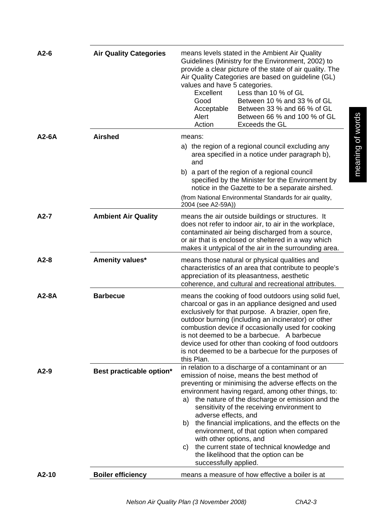| $A2-6$  | <b>Air Quality Categories</b> | means levels stated in the Ambient Air Quality<br>Guidelines (Ministry for the Environment, 2002) to<br>provide a clear picture of the state of air quality. The<br>Air Quality Categories are based on guideline (GL)<br>values and have 5 categories.<br>Excellent<br>Less than 10 % of GL<br>Between 10 % and 33 % of GL<br>Good<br>Between 33 % and 66 % of GL<br>Acceptable<br>Between 66 % and 100 % of GL<br>Alert<br>Action<br>Exceeds the GL                                                                                                                                                     |
|---------|-------------------------------|-----------------------------------------------------------------------------------------------------------------------------------------------------------------------------------------------------------------------------------------------------------------------------------------------------------------------------------------------------------------------------------------------------------------------------------------------------------------------------------------------------------------------------------------------------------------------------------------------------------|
| $A2-6A$ | <b>Airshed</b>                | means:<br>a) the region of a regional council excluding any<br>area specified in a notice under paragraph b),<br>and                                                                                                                                                                                                                                                                                                                                                                                                                                                                                      |
|         |                               | b) a part of the region of a regional council<br>specified by the Minister for the Environment by<br>notice in the Gazette to be a separate airshed.<br>(from National Environmental Standards for air quality,<br>2004 (see A2-59A))                                                                                                                                                                                                                                                                                                                                                                     |
| $A2-7$  | <b>Ambient Air Quality</b>    | means the air outside buildings or structures. It<br>does not refer to indoor air, to air in the workplace,<br>contaminated air being discharged from a source,<br>or air that is enclosed or sheltered in a way which<br>makes it untypical of the air in the surrounding area.                                                                                                                                                                                                                                                                                                                          |
| $A2-8$  | Amenity values*               | means those natural or physical qualities and<br>characteristics of an area that contribute to people's<br>appreciation of its pleasantness, aesthetic<br>coherence, and cultural and recreational attributes.                                                                                                                                                                                                                                                                                                                                                                                            |
| A2-8A   | <b>Barbecue</b>               | means the cooking of food outdoors using solid fuel,<br>charcoal or gas in an appliance designed and used<br>exclusively for that purpose. A brazier, open fire,<br>outdoor burning (including an incinerator) or other<br>combustion device if occasionally used for cooking<br>is not deemed to be a barbecue. A barbecue<br>device used for other than cooking of food outdoors<br>is not deemed to be a barbecue for the purposes of<br>this Plan.                                                                                                                                                    |
| $A2-9$  | Best practicable option*      | in relation to a discharge of a contaminant or an<br>emission of noise, means the best method of<br>preventing or minimising the adverse effects on the<br>environment having regard, among other things, to:<br>the nature of the discharge or emission and the<br>a)<br>sensitivity of the receiving environment to<br>adverse effects, and<br>the financial implications, and the effects on the<br>b)<br>environment, of that option when compared<br>with other options, and<br>the current state of technical knowledge and<br>C)<br>the likelihood that the option can be<br>successfully applied. |
| A2-10   | <b>Boiler efficiency</b>      | means a measure of how effective a boiler is at                                                                                                                                                                                                                                                                                                                                                                                                                                                                                                                                                           |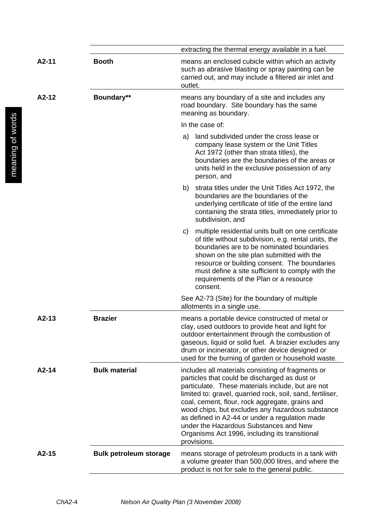|         |                               | extracting the thermal energy available in a fuel.                                                                                                                                                                                                                                                                                                                                                                                                                                        |
|---------|-------------------------------|-------------------------------------------------------------------------------------------------------------------------------------------------------------------------------------------------------------------------------------------------------------------------------------------------------------------------------------------------------------------------------------------------------------------------------------------------------------------------------------------|
| $A2-11$ | <b>Booth</b>                  | means an enclosed cubicle within which an activity<br>such as abrasive blasting or spray painting can be<br>carried out, and may include a filtered air inlet and<br>outlet.                                                                                                                                                                                                                                                                                                              |
| $A2-12$ | Boundary**                    | means any boundary of a site and includes any<br>road boundary. Site boundary has the same<br>meaning as boundary.                                                                                                                                                                                                                                                                                                                                                                        |
|         |                               | In the case of:                                                                                                                                                                                                                                                                                                                                                                                                                                                                           |
|         |                               | land subdivided under the cross lease or<br>a)<br>company lease system or the Unit Titles<br>Act 1972 (other than strata titles), the<br>boundaries are the boundaries of the areas or<br>units held in the exclusive possession of any<br>person, and                                                                                                                                                                                                                                    |
|         |                               | b) strata titles under the Unit Titles Act 1972, the<br>boundaries are the boundaries of the<br>underlying certificate of title of the entire land<br>containing the strata titles, immediately prior to<br>subdivision, and                                                                                                                                                                                                                                                              |
|         |                               | multiple residential units built on one certificate<br>C)<br>of title without subdivision, e.g. rental units, the<br>boundaries are to be nominated boundaries<br>shown on the site plan submitted with the<br>resource or building consent. The boundaries<br>must define a site sufficient to comply with the<br>requirements of the Plan or a resource<br>consent.                                                                                                                     |
|         |                               | See A2-73 (Site) for the boundary of multiple<br>allotments in a single use.                                                                                                                                                                                                                                                                                                                                                                                                              |
| $A2-13$ | <b>Brazier</b>                | means a portable device constructed of metal or<br>clay, used outdoors to provide heat and light for<br>outdoor entertainment through the combustion of<br>gaseous, liquid or solid fuel. A brazier excludes any<br>drum or incinerator, or other device designed or<br>used for the burning of garden or household waste.                                                                                                                                                                |
| $A2-14$ | <b>Bulk material</b>          | includes all materials consisting of fragments or<br>particles that could be discharged as dust or<br>particulate. These materials include, but are not<br>limited to: gravel, quarried rock, soil, sand, fertiliser,<br>coal, cement, flour, rock aggregate, grains and<br>wood chips, but excludes any hazardous substance<br>as defined in A2-44 or under a regulation made<br>under the Hazardous Substances and New<br>Organisms Act 1996, including its transitional<br>provisions. |
| $A2-15$ | <b>Bulk petroleum storage</b> | means storage of petroleum products in a tank with<br>a volume greater than 500,000 litres, and where the<br>product is not for sale to the general public.                                                                                                                                                                                                                                                                                                                               |
|         |                               |                                                                                                                                                                                                                                                                                                                                                                                                                                                                                           |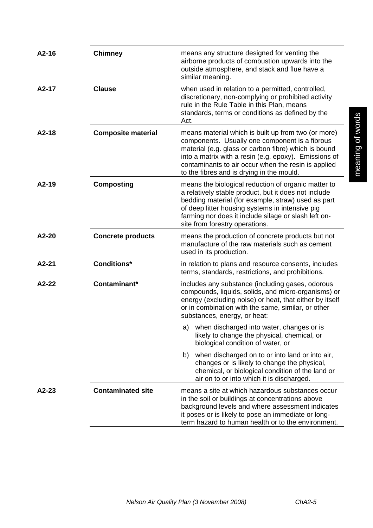| $A2-16$ | <b>Chimney</b>            | means any structure designed for venting the<br>airborne products of combustion upwards into the<br>outside atmosphere, and stack and flue have a<br>similar meaning.                                                                                                                                                      |
|---------|---------------------------|----------------------------------------------------------------------------------------------------------------------------------------------------------------------------------------------------------------------------------------------------------------------------------------------------------------------------|
| $A2-17$ | <b>Clause</b>             | when used in relation to a permitted, controlled,<br>discretionary, non-complying or prohibited activity<br>rule in the Rule Table in this Plan, means<br>standards, terms or conditions as defined by the<br>Act.                                                                                                         |
| $A2-18$ | <b>Composite material</b> | means material which is built up from two (or more)<br>components. Usually one component is a fibrous<br>material (e.g. glass or carbon fibre) which is bound<br>into a matrix with a resin (e.g. epoxy). Emissions of<br>contaminants to air occur when the resin is applied<br>to the fibres and is drying in the mould. |
| $A2-19$ | <b>Composting</b>         | means the biological reduction of organic matter to<br>a relatively stable product, but it does not include<br>bedding material (for example, straw) used as part<br>of deep litter housing systems in intensive pig<br>farming nor does it include silage or slash left on-<br>site from forestry operations.             |
| A2-20   | <b>Concrete products</b>  | means the production of concrete products but not<br>manufacture of the raw materials such as cement<br>used in its production.                                                                                                                                                                                            |
| A2-21   | <b>Conditions*</b>        | in relation to plans and resource consents, includes<br>terms, standards, restrictions, and prohibitions.                                                                                                                                                                                                                  |
| A2-22   | Contaminant*              | includes any substance (including gases, odorous<br>compounds, liquids, solids, and micro-organisms) or<br>energy (excluding noise) or heat, that either by itself<br>or in combination with the same, similar, or other<br>substances, energy, or heat:                                                                   |
|         |                           | a) when discharged into water, changes or is<br>likely to change the physical, chemical, or<br>biological condition of water, or                                                                                                                                                                                           |
|         |                           | when discharged on to or into land or into air,<br>b)<br>changes or is likely to change the physical,<br>chemical, or biological condition of the land or<br>air on to or into which it is discharged.                                                                                                                     |
| $A2-23$ | <b>Contaminated site</b>  | means a site at which hazardous substances occur<br>in the soil or buildings at concentrations above<br>background levels and where assessment indicates<br>it poses or is likely to pose an immediate or long-<br>term hazard to human health or to the environment.                                                      |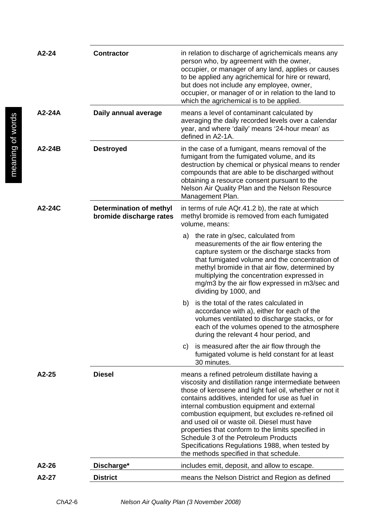| $A2-24$  | <b>Contractor</b>                                         | in relation to discharge of agrichemicals means any<br>person who, by agreement with the owner,<br>occupier, or manager of any land, applies or causes<br>to be applied any agrichemical for hire or reward,<br>but does not include any employee, owner,<br>occupier, or manager of or in relation to the land to<br>which the agrichemical is to be applied.                                                                                                                                                                                                     |
|----------|-----------------------------------------------------------|--------------------------------------------------------------------------------------------------------------------------------------------------------------------------------------------------------------------------------------------------------------------------------------------------------------------------------------------------------------------------------------------------------------------------------------------------------------------------------------------------------------------------------------------------------------------|
| $A2-24A$ | Daily annual average                                      | means a level of contaminant calculated by<br>averaging the daily recorded levels over a calendar<br>year, and where 'daily' means '24-hour mean' as<br>defined in A2-1A.                                                                                                                                                                                                                                                                                                                                                                                          |
| $A2-24B$ | <b>Destroyed</b>                                          | in the case of a fumigant, means removal of the<br>fumigant from the fumigated volume, and its<br>destruction by chemical or physical means to render<br>compounds that are able to be discharged without<br>obtaining a resource consent pursuant to the<br>Nelson Air Quality Plan and the Nelson Resource<br>Management Plan.                                                                                                                                                                                                                                   |
| A2-24C   | <b>Determination of methyl</b><br>bromide discharge rates | in terms of rule AQr.41.2 b), the rate at which<br>methyl bromide is removed from each fumigated<br>volume, means:                                                                                                                                                                                                                                                                                                                                                                                                                                                 |
|          |                                                           | the rate in g/sec, calculated from<br>a)<br>measurements of the air flow entering the<br>capture system or the discharge stacks from<br>that fumigated volume and the concentration of<br>methyl bromide in that air flow, determined by<br>multiplying the concentration expressed in<br>mg/m3 by the air flow expressed in m3/sec and<br>dividing by 1000, and                                                                                                                                                                                                   |
|          |                                                           | is the total of the rates calculated in<br>b)<br>accordance with a), either for each of the<br>volumes ventilated to discharge stacks, or for<br>each of the volumes opened to the atmosphere<br>during the relevant 4 hour period, and                                                                                                                                                                                                                                                                                                                            |
|          |                                                           | is measured after the air flow through the<br>C)<br>fumigated volume is held constant for at least<br>30 minutes.                                                                                                                                                                                                                                                                                                                                                                                                                                                  |
| $A2-25$  | <b>Diesel</b>                                             | means a refined petroleum distillate having a<br>viscosity and distillation range intermediate between<br>those of kerosene and light fuel oil, whether or not it<br>contains additives, intended for use as fuel in<br>internal combustion equipment and external<br>combustion equipment, but excludes re-refined oil<br>and used oil or waste oil. Diesel must have<br>properties that conform to the limits specified in<br>Schedule 3 of the Petroleum Products<br>Specifications Regulations 1988, when tested by<br>the methods specified in that schedule. |
| $A2-26$  | Discharge*                                                | includes emit, deposit, and allow to escape.                                                                                                                                                                                                                                                                                                                                                                                                                                                                                                                       |
| A2-27    | <b>District</b>                                           | means the Nelson District and Region as defined                                                                                                                                                                                                                                                                                                                                                                                                                                                                                                                    |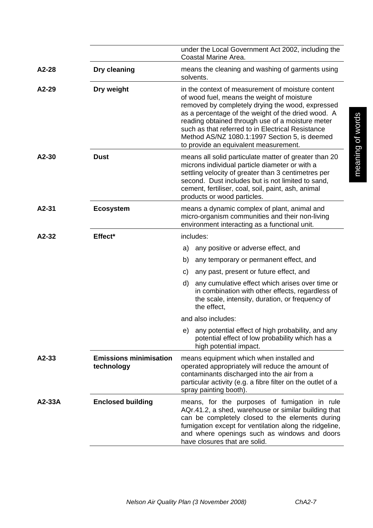|          |                                             | under the Local Government Act 2002, including the<br>Coastal Marine Area.                                                                                                                                                                                                                                                                                                                                   |
|----------|---------------------------------------------|--------------------------------------------------------------------------------------------------------------------------------------------------------------------------------------------------------------------------------------------------------------------------------------------------------------------------------------------------------------------------------------------------------------|
| A2-28    | Dry cleaning                                | means the cleaning and washing of garments using<br>solvents.                                                                                                                                                                                                                                                                                                                                                |
| $A2-29$  | Dry weight                                  | in the context of measurement of moisture content<br>of wood fuel, means the weight of moisture<br>removed by completely drying the wood, expressed<br>as a percentage of the weight of the dried wood. A<br>reading obtained through use of a moisture meter<br>such as that referred to in Electrical Resistance<br>Method AS/NZ 1080.1:1997 Section 5, is deemed<br>to provide an equivalent measurement. |
| $A2-30$  | <b>Dust</b>                                 | means all solid particulate matter of greater than 20<br>microns individual particle diameter or with a<br>settling velocity of greater than 3 centimetres per<br>second. Dust includes but is not limited to sand,<br>cement, fertiliser, coal, soil, paint, ash, animal<br>products or wood particles.                                                                                                     |
| A2-31    | <b>Ecosystem</b>                            | means a dynamic complex of plant, animal and<br>micro-organism communities and their non-living<br>environment interacting as a functional unit.                                                                                                                                                                                                                                                             |
| A2-32    | Effect*                                     | includes:                                                                                                                                                                                                                                                                                                                                                                                                    |
|          |                                             | any positive or adverse effect, and<br>a)                                                                                                                                                                                                                                                                                                                                                                    |
|          |                                             | any temporary or permanent effect, and<br>b)                                                                                                                                                                                                                                                                                                                                                                 |
|          |                                             | any past, present or future effect, and<br>C)                                                                                                                                                                                                                                                                                                                                                                |
|          |                                             | d)<br>any cumulative effect which arises over time or<br>in combination with other effects, regardless of<br>the scale, intensity, duration, or frequency of<br>the effect.                                                                                                                                                                                                                                  |
|          |                                             | and also includes:                                                                                                                                                                                                                                                                                                                                                                                           |
|          |                                             | any potential effect of high probability, and any<br>e)<br>potential effect of low probability which has a<br>high potential impact.                                                                                                                                                                                                                                                                         |
| A2-33    | <b>Emissions minimisation</b><br>technology | means equipment which when installed and<br>operated appropriately will reduce the amount of<br>contaminants discharged into the air from a<br>particular activity (e.g. a fibre filter on the outlet of a<br>spray painting booth).                                                                                                                                                                         |
| $A2-33A$ | <b>Enclosed building</b>                    | means, for the purposes of fumigation in rule<br>AQr.41.2, a shed, warehouse or similar building that<br>can be completely closed to the elements during<br>fumigation except for ventilation along the ridgeline,<br>and where openings such as windows and doors<br>have closures that are solid.                                                                                                          |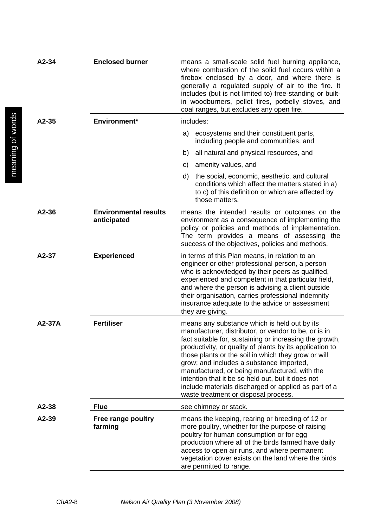| A2-34   | <b>Enclosed burner</b>                      | means a small-scale solid fuel burning appliance,<br>where combustion of the solid fuel occurs within a<br>firebox enclosed by a door, and where there is<br>generally a regulated supply of air to the fire. It<br>includes (but is not limited to) free-standing or built-<br>in woodburners, pellet fires, potbelly stoves, and<br>coal ranges, but excludes any open fire.                                                                                                                                                       |
|---------|---------------------------------------------|--------------------------------------------------------------------------------------------------------------------------------------------------------------------------------------------------------------------------------------------------------------------------------------------------------------------------------------------------------------------------------------------------------------------------------------------------------------------------------------------------------------------------------------|
| $A2-35$ | Environment*                                | includes:                                                                                                                                                                                                                                                                                                                                                                                                                                                                                                                            |
|         |                                             | ecosystems and their constituent parts,<br>a)<br>including people and communities, and                                                                                                                                                                                                                                                                                                                                                                                                                                               |
|         |                                             | all natural and physical resources, and<br>b)                                                                                                                                                                                                                                                                                                                                                                                                                                                                                        |
|         |                                             | amenity values, and<br>C)                                                                                                                                                                                                                                                                                                                                                                                                                                                                                                            |
|         |                                             | the social, economic, aesthetic, and cultural<br>d)<br>conditions which affect the matters stated in a)<br>to c) of this definition or which are affected by<br>those matters.                                                                                                                                                                                                                                                                                                                                                       |
| A2-36   | <b>Environmental results</b><br>anticipated | means the intended results or outcomes on the<br>environment as a consequence of implementing the<br>policy or policies and methods of implementation.<br>The term provides a means of assessing the<br>success of the objectives, policies and methods.                                                                                                                                                                                                                                                                             |
| A2-37   | <b>Experienced</b>                          | in terms of this Plan means, in relation to an<br>engineer or other professional person, a person<br>who is acknowledged by their peers as qualified,<br>experienced and competent in that particular field,<br>and where the person is advising a client outside<br>their organisation, carries professional indemnity<br>insurance adequate to the advice or assessment<br>they are giving.                                                                                                                                        |
| A2-37A  | <b>Fertiliser</b>                           | means any substance which is held out by its<br>manufacturer, distributor, or vendor to be, or is in<br>fact suitable for, sustaining or increasing the growth,<br>productivity, or quality of plants by its application to<br>those plants or the soil in which they grow or will<br>grow; and includes a substance imported,<br>manufactured, or being manufactured, with the<br>intention that it be so held out, but it does not<br>include materials discharged or applied as part of a<br>waste treatment or disposal process. |
| A2-38   | <b>Flue</b>                                 | see chimney or stack.                                                                                                                                                                                                                                                                                                                                                                                                                                                                                                                |
| A2-39   | Free range poultry<br>farming               | means the keeping, rearing or breeding of 12 or<br>more poultry, whether for the purpose of raising<br>poultry for human consumption or for egg<br>production where all of the birds farmed have daily<br>access to open air runs, and where permanent<br>vegetation cover exists on the land where the birds<br>are permitted to range.                                                                                                                                                                                             |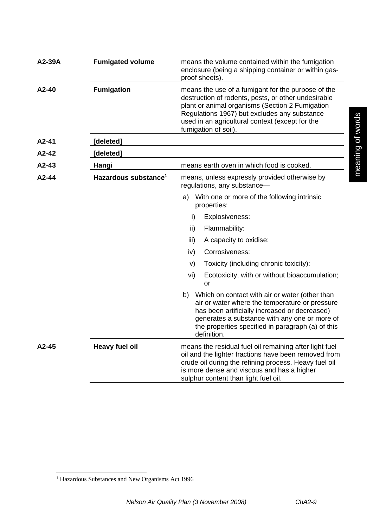| A2-39A  | <b>Fumigated volume</b>          | means the volume contained within the fumigation<br>enclosure (being a shipping container or within gas-<br>proof sheets).                                                                                                                                                              |
|---------|----------------------------------|-----------------------------------------------------------------------------------------------------------------------------------------------------------------------------------------------------------------------------------------------------------------------------------------|
| $A2-40$ | <b>Fumigation</b>                | means the use of a fumigant for the purpose of the<br>destruction of rodents, pests, or other undesirable<br>plant or animal organisms (Section 2 Fumigation<br>Regulations 1967) but excludes any substance<br>used in an agricultural context (except for the<br>fumigation of soil). |
| A2-41   | [deleted]                        |                                                                                                                                                                                                                                                                                         |
| $A2-42$ | [deleted]                        |                                                                                                                                                                                                                                                                                         |
| $A2-43$ | Hangi                            | means earth oven in which food is cooked.                                                                                                                                                                                                                                               |
| A2-44   | Hazardous substance <sup>1</sup> | means, unless expressly provided otherwise by<br>regulations, any substance-                                                                                                                                                                                                            |
|         |                                  | With one or more of the following intrinsic<br>a)<br>properties:                                                                                                                                                                                                                        |
|         |                                  | i)<br>Explosiveness:                                                                                                                                                                                                                                                                    |
|         |                                  | ii)<br>Flammability:                                                                                                                                                                                                                                                                    |
|         |                                  | iii)<br>A capacity to oxidise:                                                                                                                                                                                                                                                          |
|         |                                  | Corrosiveness:<br>iv)                                                                                                                                                                                                                                                                   |
|         |                                  | Toxicity (including chronic toxicity):<br>V)                                                                                                                                                                                                                                            |
|         |                                  | vi)<br>Ecotoxicity, with or without bioaccumulation;<br>or                                                                                                                                                                                                                              |
|         |                                  | b) Which on contact with air or water (other than<br>air or water where the temperature or pressure<br>has been artificially increased or decreased)<br>generates a substance with any one or more of<br>the properties specified in paragraph (a) of this<br>definition.               |
| A2-45   | <b>Heavy fuel oil</b>            | means the residual fuel oil remaining after light fuel<br>oil and the lighter fractions have been removed from<br>crude oil during the refining process. Heavy fuel oil<br>is more dense and viscous and has a higher<br>sulphur content than light fuel oil.                           |

meaning of words meaning of words

 1 Hazardous Substances and New Organisms Act 1996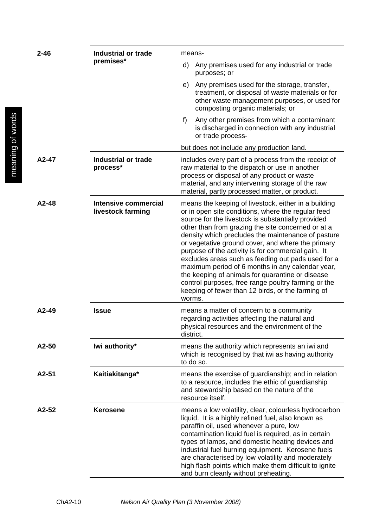| $2 - 46$ | <b>Industrial or trade</b><br>premises*          | means-                                                                                                                                                                                                                                                                                                                                                                                                                                                                                                                                                                                                                                                                      |  |
|----------|--------------------------------------------------|-----------------------------------------------------------------------------------------------------------------------------------------------------------------------------------------------------------------------------------------------------------------------------------------------------------------------------------------------------------------------------------------------------------------------------------------------------------------------------------------------------------------------------------------------------------------------------------------------------------------------------------------------------------------------------|--|
|          |                                                  | Any premises used for any industrial or trade<br>d)<br>purposes; or                                                                                                                                                                                                                                                                                                                                                                                                                                                                                                                                                                                                         |  |
|          |                                                  | e) Any premises used for the storage, transfer,<br>treatment, or disposal of waste materials or for<br>other waste management purposes, or used for<br>composting organic materials; or                                                                                                                                                                                                                                                                                                                                                                                                                                                                                     |  |
|          |                                                  | f)<br>Any other premises from which a contaminant<br>is discharged in connection with any industrial<br>or trade process-                                                                                                                                                                                                                                                                                                                                                                                                                                                                                                                                                   |  |
|          |                                                  | but does not include any production land.                                                                                                                                                                                                                                                                                                                                                                                                                                                                                                                                                                                                                                   |  |
| A2-47    | <b>Industrial or trade</b><br>process*           | includes every part of a process from the receipt of<br>raw material to the dispatch or use in another<br>process or disposal of any product or waste<br>material, and any intervening storage of the raw<br>material, partly processed matter, or product.                                                                                                                                                                                                                                                                                                                                                                                                                 |  |
| A2-48    | <b>Intensive commercial</b><br>livestock farming | means the keeping of livestock, either in a building<br>or in open site conditions, where the regular feed<br>source for the livestock is substantially provided<br>other than from grazing the site concerned or at a<br>density which precludes the maintenance of pasture<br>or vegetative ground cover, and where the primary<br>purpose of the activity is for commercial gain. It<br>excludes areas such as feeding out pads used for a<br>maximum period of 6 months in any calendar year,<br>the keeping of animals for quarantine or disease<br>control purposes, free range poultry farming or the<br>keeping of fewer than 12 birds, or the farming of<br>worms. |  |
| A2-49    | <b>Issue</b>                                     | means a matter of concern to a community<br>regarding activities affecting the natural and<br>physical resources and the environment of the<br>district.                                                                                                                                                                                                                                                                                                                                                                                                                                                                                                                    |  |
| A2-50    | Iwi authority*                                   | means the authority which represents an iwi and<br>which is recognised by that iwi as having authority<br>to do so.                                                                                                                                                                                                                                                                                                                                                                                                                                                                                                                                                         |  |
| A2-51    | Kaitiakitanga*                                   | means the exercise of guardianship; and in relation<br>to a resource, includes the ethic of guardianship<br>and stewardship based on the nature of the<br>resource itself.                                                                                                                                                                                                                                                                                                                                                                                                                                                                                                  |  |
| A2-52    | <b>Kerosene</b>                                  | means a low volatility, clear, colourless hydrocarbon<br>liquid. It is a highly refined fuel, also known as<br>paraffin oil, used whenever a pure, low<br>contamination liquid fuel is required, as in certain<br>types of lamps, and domestic heating devices and<br>industrial fuel burning equipment. Kerosene fuels<br>are characterised by low volatility and moderately<br>high flash points which make them difficult to ignite<br>and burn cleanly without preheating.                                                                                                                                                                                              |  |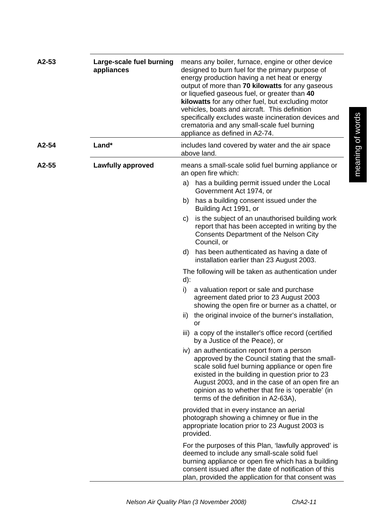| A2-53 | Large-scale fuel burning<br>appliances | means any boiler, furnace, engine or other device<br>designed to burn fuel for the primary purpose of<br>energy production having a net heat or energy<br>output of more than 70 kilowatts for any gaseous<br>or liquefied gaseous fuel, or greater than 40<br>kilowatts for any other fuel, but excluding motor<br>vehicles, boats and aircraft. This definition<br>specifically excludes waste incineration devices and<br>crematoria and any small-scale fuel burning<br>appliance as defined in A2-74. |
|-------|----------------------------------------|------------------------------------------------------------------------------------------------------------------------------------------------------------------------------------------------------------------------------------------------------------------------------------------------------------------------------------------------------------------------------------------------------------------------------------------------------------------------------------------------------------|
| A2-54 | Land*                                  | includes land covered by water and the air space<br>above land.                                                                                                                                                                                                                                                                                                                                                                                                                                            |
| A2-55 | <b>Lawfully approved</b>               | means a small-scale solid fuel burning appliance or<br>an open fire which:                                                                                                                                                                                                                                                                                                                                                                                                                                 |
|       |                                        | a) has a building permit issued under the Local<br>Government Act 1974, or                                                                                                                                                                                                                                                                                                                                                                                                                                 |
|       |                                        | has a building consent issued under the<br>b)<br>Building Act 1991, or                                                                                                                                                                                                                                                                                                                                                                                                                                     |
|       |                                        | is the subject of an unauthorised building work<br>C)<br>report that has been accepted in writing by the<br><b>Consents Department of the Nelson City</b><br>Council, or                                                                                                                                                                                                                                                                                                                                   |
|       |                                        | has been authenticated as having a date of<br>d)<br>installation earlier than 23 August 2003.                                                                                                                                                                                                                                                                                                                                                                                                              |
|       |                                        | The following will be taken as authentication under<br>$d)$ :                                                                                                                                                                                                                                                                                                                                                                                                                                              |
|       |                                        | i)<br>a valuation report or sale and purchase<br>agreement dated prior to 23 August 2003<br>showing the open fire or burner as a chattel, or                                                                                                                                                                                                                                                                                                                                                               |
|       |                                        | the original invoice of the burner's installation,<br>ii)<br>or                                                                                                                                                                                                                                                                                                                                                                                                                                            |
|       |                                        | iii) a copy of the installer's office record (certified<br>by a Justice of the Peace), or                                                                                                                                                                                                                                                                                                                                                                                                                  |
|       |                                        | iv) an authentication report from a person<br>approved by the Council stating that the small-<br>scale solid fuel burning appliance or open fire<br>existed in the building in question prior to 23<br>August 2003, and in the case of an open fire an<br>opinion as to whether that fire is 'operable' (in<br>terms of the definition in A2-63A),                                                                                                                                                         |
|       |                                        | provided that in every instance an aerial<br>photograph showing a chimney or flue in the<br>appropriate location prior to 23 August 2003 is<br>provided.                                                                                                                                                                                                                                                                                                                                                   |
|       |                                        | For the purposes of this Plan, 'lawfully approved' is<br>deemed to include any small-scale solid fuel<br>burning appliance or open fire which has a building<br>consent issued after the date of notification of this<br>plan, provided the application for that consent was                                                                                                                                                                                                                               |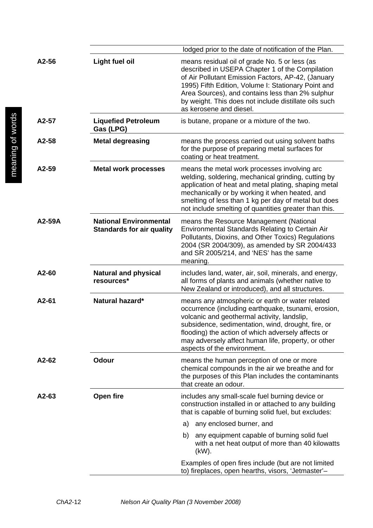|         |                                                                   | lodged prior to the date of notification of the Plan.                                                                                                                                                                                                                                                                                                   |
|---------|-------------------------------------------------------------------|---------------------------------------------------------------------------------------------------------------------------------------------------------------------------------------------------------------------------------------------------------------------------------------------------------------------------------------------------------|
| A2-56   | <b>Light fuel oil</b>                                             | means residual oil of grade No. 5 or less (as<br>described in USEPA Chapter 1 of the Compilation<br>of Air Pollutant Emission Factors, AP-42, (January<br>1995) Fifth Edition, Volume I: Stationary Point and<br>Area Sources), and contains less than 2% sulphur<br>by weight. This does not include distillate oils such<br>as kerosene and diesel.   |
| A2-57   | <b>Liquefied Petroleum</b><br>Gas (LPG)                           | is butane, propane or a mixture of the two.                                                                                                                                                                                                                                                                                                             |
| A2-58   | <b>Metal degreasing</b>                                           | means the process carried out using solvent baths<br>for the purpose of preparing metal surfaces for<br>coating or heat treatment.                                                                                                                                                                                                                      |
| A2-59   | <b>Metal work processes</b>                                       | means the metal work processes involving arc<br>welding, soldering, mechanical grinding, cutting by<br>application of heat and metal plating, shaping metal<br>mechanically or by working it when heated, and<br>smelting of less than 1 kg per day of metal but does<br>not include smelting of quantities greater than this.                          |
| A2-59A  | <b>National Environmental</b><br><b>Standards for air quality</b> | means the Resource Management (National<br>Environmental Standards Relating to Certain Air<br>Pollutants, Dioxins, and Other Toxics) Regulations<br>2004 (SR 2004/309), as amended by SR 2004/433<br>and SR 2005/214, and 'NES' has the same<br>meaning.                                                                                                |
| A2-60   | <b>Natural and physical</b><br>resources*                         | includes land, water, air, soil, minerals, and energy,<br>all forms of plants and animals (whether native to<br>New Zealand or introduced), and all structures.                                                                                                                                                                                         |
| A2-61   | Natural hazard*                                                   | means any atmospheric or earth or water related<br>occurrence (including earthquake, tsunami, erosion,<br>volcanic and geothermal activity, landslip,<br>subsidence, sedimentation, wind, drought, fire, or<br>flooding) the action of which adversely affects or<br>may adversely affect human life, property, or other<br>aspects of the environment. |
| A2-62   | <b>Odour</b>                                                      | means the human perception of one or more<br>chemical compounds in the air we breathe and for<br>the purposes of this Plan includes the contaminants<br>that create an odour.                                                                                                                                                                           |
| $A2-63$ | Open fire                                                         | includes any small-scale fuel burning device or<br>construction installed in or attached to any building<br>that is capable of burning solid fuel, but excludes:                                                                                                                                                                                        |
|         |                                                                   | any enclosed burner, and<br>a)                                                                                                                                                                                                                                                                                                                          |
|         |                                                                   | any equipment capable of burning solid fuel<br>b)<br>with a net heat output of more than 40 kilowatts<br>(kW).                                                                                                                                                                                                                                          |
|         |                                                                   | Examples of open fires include (but are not limited<br>to) fireplaces, open hearths, visors, 'Jetmaster'-                                                                                                                                                                                                                                               |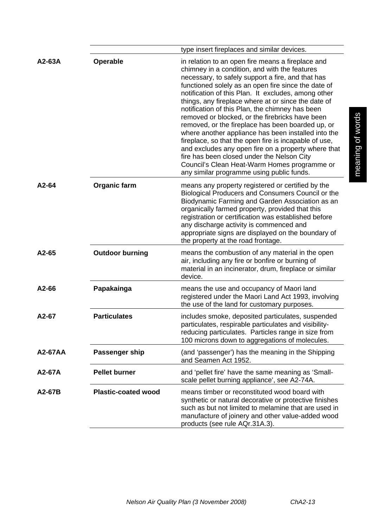|         |                            | type insert fireplaces and similar devices.                                                                                                                                                                                                                                                                                                                                                                                                                                                                                                                                                                                                                                                                                                                                                               |
|---------|----------------------------|-----------------------------------------------------------------------------------------------------------------------------------------------------------------------------------------------------------------------------------------------------------------------------------------------------------------------------------------------------------------------------------------------------------------------------------------------------------------------------------------------------------------------------------------------------------------------------------------------------------------------------------------------------------------------------------------------------------------------------------------------------------------------------------------------------------|
| A2-63A  | <b>Operable</b>            | in relation to an open fire means a fireplace and<br>chimney in a condition, and with the features<br>necessary, to safely support a fire, and that has<br>functioned solely as an open fire since the date of<br>notification of this Plan. It excludes, among other<br>things, any fireplace where at or since the date of<br>notification of this Plan, the chimney has been<br>removed or blocked, or the firebricks have been<br>removed, or the fireplace has been boarded up, or<br>where another appliance has been installed into the<br>fireplace, so that the open fire is incapable of use,<br>and excludes any open fire on a property where that<br>fire has been closed under the Nelson City<br>Council's Clean Heat-Warm Homes programme or<br>any similar programme using public funds. |
| A2-64   | <b>Organic farm</b>        | means any property registered or certified by the<br>Biological Producers and Consumers Council or the<br>Biodynamic Farming and Garden Association as an<br>organically farmed property, provided that this<br>registration or certification was established before<br>any discharge activity is commenced and<br>appropriate signs are displayed on the boundary of<br>the property at the road frontage.                                                                                                                                                                                                                                                                                                                                                                                               |
| A2-65   | <b>Outdoor burning</b>     | means the combustion of any material in the open<br>air, including any fire or bonfire or burning of<br>material in an incinerator, drum, fireplace or similar<br>device.                                                                                                                                                                                                                                                                                                                                                                                                                                                                                                                                                                                                                                 |
| A2-66   | Papakainga                 | means the use and occupancy of Maori land<br>registered under the Maori Land Act 1993, involving<br>the use of the land for customary purposes.                                                                                                                                                                                                                                                                                                                                                                                                                                                                                                                                                                                                                                                           |
| A2-67   | <b>Particulates</b>        | includes smoke, deposited particulates, suspended<br>particulates, respirable particulates and visibility-<br>reducing particulates. Particles range in size from<br>100 microns down to aggregations of molecules.                                                                                                                                                                                                                                                                                                                                                                                                                                                                                                                                                                                       |
| A2-67AA | Passenger ship             | (and 'passenger') has the meaning in the Shipping<br>and Seamen Act 1952.                                                                                                                                                                                                                                                                                                                                                                                                                                                                                                                                                                                                                                                                                                                                 |
| A2-67A  | <b>Pellet burner</b>       | and 'pellet fire' have the same meaning as 'Small-<br>scale pellet burning appliance', see A2-74A.                                                                                                                                                                                                                                                                                                                                                                                                                                                                                                                                                                                                                                                                                                        |
| A2-67B  | <b>Plastic-coated wood</b> | means timber or reconstituted wood board with<br>synthetic or natural decorative or protective finishes<br>such as but not limited to melamine that are used in<br>manufacture of joinery and other value-added wood<br>products (see rule AQr.31A.3).                                                                                                                                                                                                                                                                                                                                                                                                                                                                                                                                                    |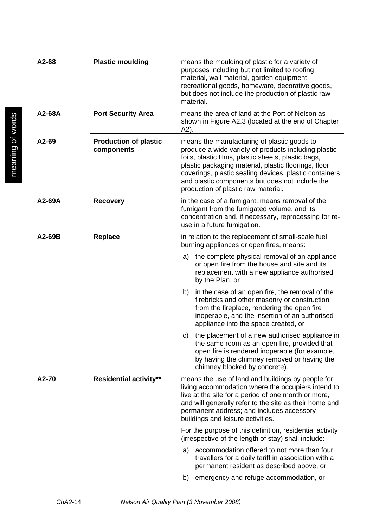| A2-68  | <b>Plastic moulding</b>                    | means the moulding of plastic for a variety of<br>purposes including but not limited to roofing<br>material, wall material, garden equipment,<br>recreational goods, homeware, decorative goods,<br>but does not include the production of plastic raw<br>material.                                                                                                    |  |
|--------|--------------------------------------------|------------------------------------------------------------------------------------------------------------------------------------------------------------------------------------------------------------------------------------------------------------------------------------------------------------------------------------------------------------------------|--|
| A2-68A | <b>Port Security Area</b>                  | means the area of land at the Port of Nelson as<br>shown in Figure A2.3 (located at the end of Chapter<br>A2).                                                                                                                                                                                                                                                         |  |
| A2-69  | <b>Production of plastic</b><br>components | means the manufacturing of plastic goods to<br>produce a wide variety of products including plastic<br>foils, plastic films, plastic sheets, plastic bags,<br>plastic packaging material, plastic floorings, floor<br>coverings, plastic sealing devices, plastic containers<br>and plastic components but does not include the<br>production of plastic raw material. |  |
| A2-69A | <b>Recovery</b>                            | in the case of a fumigant, means removal of the<br>fumigant from the fumigated volume, and its<br>concentration and, if necessary, reprocessing for re-<br>use in a future fumigation.                                                                                                                                                                                 |  |
| A2-69B | <b>Replace</b>                             | in relation to the replacement of small-scale fuel<br>burning appliances or open fires, means:                                                                                                                                                                                                                                                                         |  |
|        |                                            | the complete physical removal of an appliance<br>a)<br>or open fire from the house and site and its<br>replacement with a new appliance authorised<br>by the Plan, or                                                                                                                                                                                                  |  |
|        |                                            | in the case of an open fire, the removal of the<br>b)<br>firebricks and other masonry or construction<br>from the fireplace, rendering the open fire<br>inoperable, and the insertion of an authorised<br>appliance into the space created, or                                                                                                                         |  |
|        |                                            | the placement of a new authorised appliance in<br>C)<br>the same room as an open fire, provided that<br>open fire is rendered inoperable (for example,<br>by having the chimney removed or having the<br>chimney blocked by concrete).                                                                                                                                 |  |
| A2-70  | <b>Residential activity**</b>              | means the use of land and buildings by people for<br>living accommodation where the occupiers intend to<br>live at the site for a period of one month or more,<br>and will generally refer to the site as their home and<br>permanent address; and includes accessory<br>buildings and leisure activities.                                                             |  |
|        |                                            | For the purpose of this definition, residential activity<br>(irrespective of the length of stay) shall include:                                                                                                                                                                                                                                                        |  |
|        |                                            | accommodation offered to not more than four<br>a)<br>travellers for a daily tariff in association with a<br>permanent resident as described above, or                                                                                                                                                                                                                  |  |
|        |                                            | emergency and refuge accommodation, or<br>b)                                                                                                                                                                                                                                                                                                                           |  |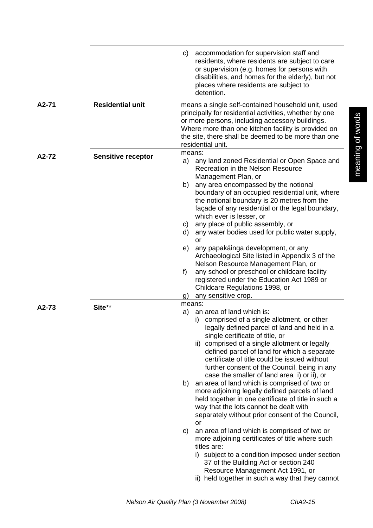|           |                           | accommodation for supervision staff and<br>C)<br>residents, where residents are subject to care<br>or supervision (e.g. homes for persons with<br>disabilities, and homes for the elderly), but not<br>places where residents are subject to<br>detention.                                                                                                                                                                                                                                                                                                                                                                                                                                                                                                                                                                                                                                                                                                                                                  |  |
|-----------|---------------------------|-------------------------------------------------------------------------------------------------------------------------------------------------------------------------------------------------------------------------------------------------------------------------------------------------------------------------------------------------------------------------------------------------------------------------------------------------------------------------------------------------------------------------------------------------------------------------------------------------------------------------------------------------------------------------------------------------------------------------------------------------------------------------------------------------------------------------------------------------------------------------------------------------------------------------------------------------------------------------------------------------------------|--|
| A2-71     | <b>Residential unit</b>   | means a single self-contained household unit, used<br>principally for residential activities, whether by one<br>or more persons, including accessory buildings.<br>Where more than one kitchen facility is provided on<br>the site, there shall be deemed to be more than one<br>residential unit.                                                                                                                                                                                                                                                                                                                                                                                                                                                                                                                                                                                                                                                                                                          |  |
| A2-72     | <b>Sensitive receptor</b> | means:<br>any land zoned Residential or Open Space and<br>a)<br>Recreation in the Nelson Resource<br>Management Plan, or<br>any area encompassed by the notional<br>b)<br>boundary of an occupied residential unit, where<br>the notional boundary is 20 metres from the<br>façade of any residential or the legal boundary,<br>which ever is lesser, or<br>any place of public assembly, or<br>C)<br>any water bodies used for public water supply,<br>d)<br>or<br>any papakäinga development, or any<br>e)<br>Archaeological Site listed in Appendix 3 of the<br>Nelson Resource Management Plan, or<br>any school or preschool or childcare facility<br>f)<br>registered under the Education Act 1989 or<br>Childcare Regulations 1998, or<br>any sensitive crop.<br>g)                                                                                                                                                                                                                                  |  |
| $A2 - 73$ | Site**                    | means:<br>an area of land which is:<br>a)<br>i) comprised of a single allotment, or other<br>legally defined parcel of land and held in a<br>single certificate of title, or<br>ii) comprised of a single allotment or legally<br>defined parcel of land for which a separate<br>certificate of title could be issued without<br>further consent of the Council, being in any<br>case the smaller of land area i) or ii), or<br>an area of land which is comprised of two or<br>b)<br>more adjoining legally defined parcels of land<br>held together in one certificate of title in such a<br>way that the lots cannot be dealt with<br>separately without prior consent of the Council,<br>or<br>C)<br>an area of land which is comprised of two or<br>more adjoining certificates of title where such<br>titles are:<br>i) subject to a condition imposed under section<br>37 of the Building Act or section 240<br>Resource Management Act 1991, or<br>ii) held together in such a way that they cannot |  |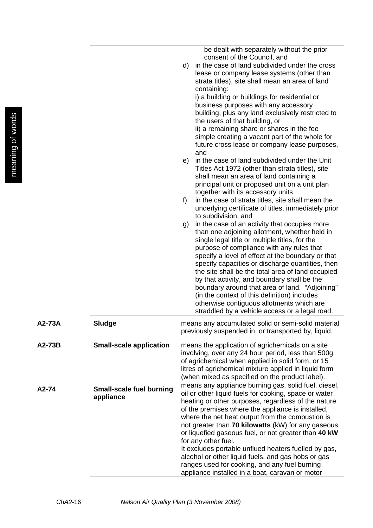be dealt with separately without the prior consent of the Council, and

- d) in the case of land subdivided under the cross lease or company lease systems (other than strata titles), site shall mean an area of land containing: i) a building or buildings for residential or business purposes with any accessory building, plus any land exclusively restricted to the users of that building, or ii) a remaining share or shares in the fee simple creating a vacant part of the whole for future cross lease or company lease purposes,
- and e) in the case of land subdivided under the Unit Titles Act 1972 (other than strata titles), site shall mean an area of land containing a principal unit or proposed unit on a unit plan together with its accessory units
- f) in the case of strata titles, site shall mean the underlying certificate of titles, immediately prior to subdivision, and
- g) in the case of an activity that occupies more than one adjoining allotment, whether held in single legal title or multiple titles, for the purpose of compliance with any rules that specify a level of effect at the boundary or that specify capacities or discharge quantities, then the site shall be the total area of land occupied by that activity, and boundary shall be the boundary around that area of land. "Adjoining" (in the context of this definition) includes otherwise contiguous allotments which are straddled by a vehicle access or a legal road.

| A2-73A   | Sludge                                       | means any accumulated solid or semi-solid material<br>previously suspended in, or transported by, liquid.                                                                                                                                                                                                                                                                                                                                                                                                                                                                                                                            |
|----------|----------------------------------------------|--------------------------------------------------------------------------------------------------------------------------------------------------------------------------------------------------------------------------------------------------------------------------------------------------------------------------------------------------------------------------------------------------------------------------------------------------------------------------------------------------------------------------------------------------------------------------------------------------------------------------------------|
| $A2-73B$ | <b>Small-scale application</b>               | means the application of agrichemicals on a site<br>involving, over any 24 hour period, less than 500g<br>of agrichemical when applied in solid form, or 15<br>litres of agrichemical mixture applied in liquid form<br>(when mixed as specified on the product label).                                                                                                                                                                                                                                                                                                                                                              |
| A2-74    | <b>Small-scale fuel burning</b><br>appliance | means any appliance burning gas, solid fuel, diesel,<br>oil or other liquid fuels for cooking, space or water<br>heating or other purposes, regardless of the nature<br>of the premises where the appliance is installed,<br>where the net heat output from the combustion is<br>not greater than 70 kilowatts (kW) for any gaseous<br>or liquefied gaseous fuel, or not greater than 40 kW<br>for any other fuel.<br>It excludes portable unflued heaters fuelled by gas,<br>alcohol or other liquid fuels, and gas hobs or gas<br>ranges used for cooking, and any fuel burning<br>appliance installed in a boat, caravan or motor |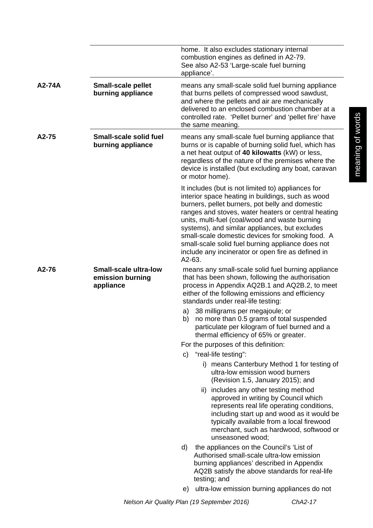|        |                                                               | home. It also excludes stationary internal<br>combustion engines as defined in A2-79.<br>See also A2-53 'Large-scale fuel burning<br>appliance'.                                                                                                                                                                                                                                                                                                                                               |
|--------|---------------------------------------------------------------|------------------------------------------------------------------------------------------------------------------------------------------------------------------------------------------------------------------------------------------------------------------------------------------------------------------------------------------------------------------------------------------------------------------------------------------------------------------------------------------------|
| A2-74A | <b>Small-scale pellet</b><br>burning appliance                | means any small-scale solid fuel burning appliance<br>that burns pellets of compressed wood sawdust,<br>and where the pellets and air are mechanically<br>delivered to an enclosed combustion chamber at a<br>controlled rate. 'Pellet burner' and 'pellet fire' have<br>the same meaning.                                                                                                                                                                                                     |
| A2-75  | <b>Small-scale solid fuel</b><br>burning appliance            | means any small-scale fuel burning appliance that<br>burns or is capable of burning solid fuel, which has<br>a net heat output of 40 kilowatts (kW) or less,<br>regardless of the nature of the premises where the<br>device is installed (but excluding any boat, caravan<br>or motor home).                                                                                                                                                                                                  |
|        |                                                               | It includes (but is not limited to) appliances for<br>interior space heating in buildings, such as wood<br>burners, pellet burners, pot belly and domestic<br>ranges and stoves, water heaters or central heating<br>units, multi-fuel (coal/wood and waste burning<br>systems), and similar appliances, but excludes<br>small-scale domestic devices for smoking food. A<br>small-scale solid fuel burning appliance does not<br>include any incinerator or open fire as defined in<br>A2-63. |
| A2-76  | <b>Small-scale ultra-low</b><br>emission burning<br>appliance | means any small-scale solid fuel burning appliance<br>that has been shown, following the authorisation<br>process in Appendix AQ2B.1 and AQ2B.2, to meet<br>either of the following emissions and efficiency<br>standards under real-life testing:                                                                                                                                                                                                                                             |
|        |                                                               | 38 milligrams per megajoule; or<br>a)<br>no more than 0.5 grams of total suspended<br>b)<br>particulate per kilogram of fuel burned and a<br>thermal efficiency of 65% or greater.                                                                                                                                                                                                                                                                                                             |
|        |                                                               | For the purposes of this definition:                                                                                                                                                                                                                                                                                                                                                                                                                                                           |
|        |                                                               | "real-life testing":<br>C)<br>i) means Canterbury Method 1 for testing of                                                                                                                                                                                                                                                                                                                                                                                                                      |
|        |                                                               | ultra-low emission wood burners<br>(Revision 1.5, January 2015); and                                                                                                                                                                                                                                                                                                                                                                                                                           |
|        |                                                               | ii) includes any other testing method<br>approved in writing by Council which<br>represents real life operating conditions,<br>including start up and wood as it would be<br>typically available from a local firewood<br>merchant, such as hardwood, softwood or<br>unseasoned wood;                                                                                                                                                                                                          |
|        |                                                               | the appliances on the Council's 'List of<br>d)<br>Authorised small-scale ultra-low emission<br>burning appliances' described in Appendix<br>AQ2B satisfy the above standards for real-life<br>testing; and                                                                                                                                                                                                                                                                                     |
|        |                                                               | ultra-low emission burning appliances do not<br>e)                                                                                                                                                                                                                                                                                                                                                                                                                                             |

meaning of words

meaning of words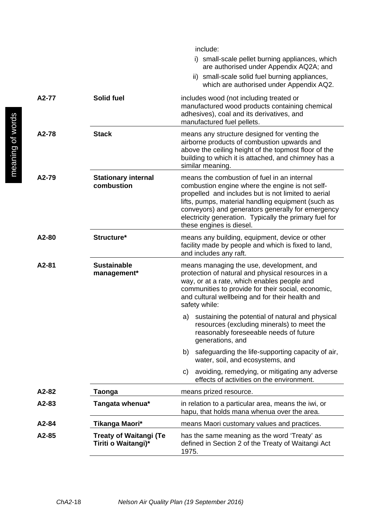|       |                                                      | include:<br>i) small-scale pellet burning appliances, which<br>are authorised under Appendix AQ2A; and<br>ii) small-scale solid fuel burning appliances,<br>which are authorised under Appendix AQ2.                                                                                                                                                   |  |  |
|-------|------------------------------------------------------|--------------------------------------------------------------------------------------------------------------------------------------------------------------------------------------------------------------------------------------------------------------------------------------------------------------------------------------------------------|--|--|
| A2-77 | Solid fuel                                           | includes wood (not including treated or<br>manufactured wood products containing chemical<br>adhesives), coal and its derivatives, and<br>manufactured fuel pellets.                                                                                                                                                                                   |  |  |
| A2-78 | <b>Stack</b>                                         | means any structure designed for venting the<br>airborne products of combustion upwards and<br>above the ceiling height of the topmost floor of the<br>building to which it is attached, and chimney has a<br>similar meaning.                                                                                                                         |  |  |
| A2-79 | <b>Stationary internal</b><br>combustion             | means the combustion of fuel in an internal<br>combustion engine where the engine is not self-<br>propelled and includes but is not limited to aerial<br>lifts, pumps, material handling equipment (such as<br>conveyors) and generators generally for emergency<br>electricity generation. Typically the primary fuel for<br>these engines is diesel. |  |  |
| A2-80 | Structure*                                           | means any building, equipment, device or other<br>facility made by people and which is fixed to land,<br>and includes any raft.                                                                                                                                                                                                                        |  |  |
| A2-81 | <b>Sustainable</b><br>management*                    | means managing the use, development, and<br>protection of natural and physical resources in a<br>way, or at a rate, which enables people and<br>communities to provide for their social, economic,<br>and cultural wellbeing and for their health and<br>safety while:                                                                                 |  |  |
|       |                                                      | sustaining the potential of natural and physical<br>a)<br>resources (excluding minerals) to meet the<br>reasonably foreseeable needs of future<br>generations, and                                                                                                                                                                                     |  |  |
|       |                                                      | safeguarding the life-supporting capacity of air,<br>b)<br>water, soil, and ecosystems, and                                                                                                                                                                                                                                                            |  |  |
|       |                                                      | avoiding, remedying, or mitigating any adverse<br>C)<br>effects of activities on the environment.                                                                                                                                                                                                                                                      |  |  |
| A2-82 | Taonga                                               | means prized resource.                                                                                                                                                                                                                                                                                                                                 |  |  |
| A2-83 | Tangata whenua*                                      | in relation to a particular area, means the iwi, or<br>hapu, that holds mana whenua over the area.                                                                                                                                                                                                                                                     |  |  |
| A2-84 | Tikanga Maori*                                       | means Maori customary values and practices.                                                                                                                                                                                                                                                                                                            |  |  |
| A2-85 | <b>Treaty of Waitangi (Te</b><br>Tiriti o Waitangi)* | has the same meaning as the word 'Treaty' as<br>defined in Section 2 of the Treaty of Waitangi Act<br>1975.                                                                                                                                                                                                                                            |  |  |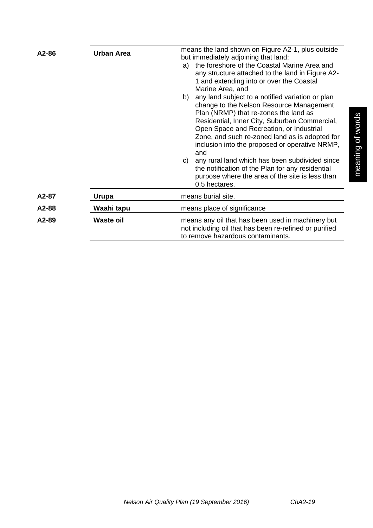| A2-86 | <b>Urban Area</b> | means the land shown on Figure A2-1, plus outside<br>but immediately adjoining that land:<br>the foreshore of the Coastal Marine Area and<br>a)<br>any structure attached to the land in Figure A2-<br>1 and extending into or over the Coastal<br>Marine Area, and<br>any land subject to a notified variation or plan<br>b)<br>change to the Nelson Resource Management<br>Plan (NRMP) that re-zones the land as<br>Residential, Inner City, Suburban Commercial,<br>Open Space and Recreation, or Industrial<br>Zone, and such re-zoned land as is adopted for<br>inclusion into the proposed or operative NRMP,<br>and<br>any rural land which has been subdivided since<br>C)<br>the notification of the Plan for any residential<br>purpose where the area of the site is less than<br>0.5 hectares. |  |  |  |
|-------|-------------------|------------------------------------------------------------------------------------------------------------------------------------------------------------------------------------------------------------------------------------------------------------------------------------------------------------------------------------------------------------------------------------------------------------------------------------------------------------------------------------------------------------------------------------------------------------------------------------------------------------------------------------------------------------------------------------------------------------------------------------------------------------------------------------------------------------|--|--|--|
| A2-87 | Urupa             | means burial site.                                                                                                                                                                                                                                                                                                                                                                                                                                                                                                                                                                                                                                                                                                                                                                                         |  |  |  |
| A2-88 | Waahi tapu        | means place of significance<br>means any oil that has been used in machinery but<br>not including oil that has been re-refined or purified<br>to remove hazardous contaminants.                                                                                                                                                                                                                                                                                                                                                                                                                                                                                                                                                                                                                            |  |  |  |
| A2-89 | <b>Waste oil</b>  |                                                                                                                                                                                                                                                                                                                                                                                                                                                                                                                                                                                                                                                                                                                                                                                                            |  |  |  |
|       |                   |                                                                                                                                                                                                                                                                                                                                                                                                                                                                                                                                                                                                                                                                                                                                                                                                            |  |  |  |